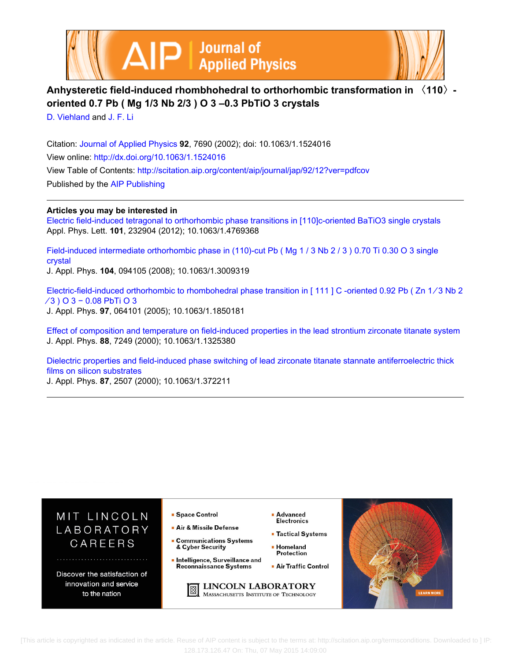



## **Anhysteretic field-induced rhombhohedral to orthorhombic transformation in 〈110〉 oriented 0.7 Pb ( Mg 1/3 Nb 2/3 ) O 3 –0.3 PbTiO 3 crystals**

[D. Viehland](http://scitation.aip.org/search?value1=D.+Viehland&option1=author) and [J. F. Li](http://scitation.aip.org/search?value1=J.+F.+Li&option1=author)

Citation: [Journal of Applied Physics](http://scitation.aip.org/content/aip/journal/jap?ver=pdfcov) **92**, 7690 (2002); doi: 10.1063/1.1524016 View online: <http://dx.doi.org/10.1063/1.1524016> View Table of Contents: <http://scitation.aip.org/content/aip/journal/jap/92/12?ver=pdfcov> Published by the [AIP Publishing](http://scitation.aip.org/content/aip?ver=pdfcov)

## **Articles you may be interested in**

[Electric field-induced tetragonal to orthorhombic phase transitions in \[110\]c-oriented BaTiO3 single crystals](http://scitation.aip.org/content/aip/journal/apl/101/23/10.1063/1.4769368?ver=pdfcov) Appl. Phys. Lett. **101**, 232904 (2012); 10.1063/1.4769368

Field-induced intermediate orthorhombic phase in (110)-cut Pb (Mg 1 / 3 Nb 2 / 3 ) 0.70 Ti 0.30 O 3 single [crystal](http://scitation.aip.org/content/aip/journal/jap/104/9/10.1063/1.3009319?ver=pdfcov)

J. Appl. Phys. **104**, 094105 (2008); 10.1063/1.3009319

[Electric-field-induced orthorhombic to rhombohedral phase transition in \[ 111 \] C -oriented 0.92 Pb \( Zn 1 ∕ 3 Nb 2](http://scitation.aip.org/content/aip/journal/jap/97/6/10.1063/1.1850181?ver=pdfcov) [∕ 3 \) O 3 − 0.08 PbTi O 3](http://scitation.aip.org/content/aip/journal/jap/97/6/10.1063/1.1850181?ver=pdfcov) J. Appl. Phys. **97**, 064101 (2005); 10.1063/1.1850181

[Effect of composition and temperature on field-induced properties in the lead strontium zirconate titanate system](http://scitation.aip.org/content/aip/journal/jap/88/12/10.1063/1.1325380?ver=pdfcov) J. Appl. Phys. **88**, 7249 (2000); 10.1063/1.1325380

[Dielectric properties and field-induced phase switching of lead zirconate titanate stannate antiferroelectric thick](http://scitation.aip.org/content/aip/journal/jap/87/5/10.1063/1.372211?ver=pdfcov) [films on silicon substrates](http://scitation.aip.org/content/aip/journal/jap/87/5/10.1063/1.372211?ver=pdfcov)

J. Appl. Phys. **87**, 2507 (2000); 10.1063/1.372211



 [This article is copyrighted as indicated in the article. Reuse of AIP content is subject to the terms at: http://scitation.aip.org/termsconditions. Downloaded to ] IP: 128.173.126.47 On: Thu, 07 May 2015 14:09:00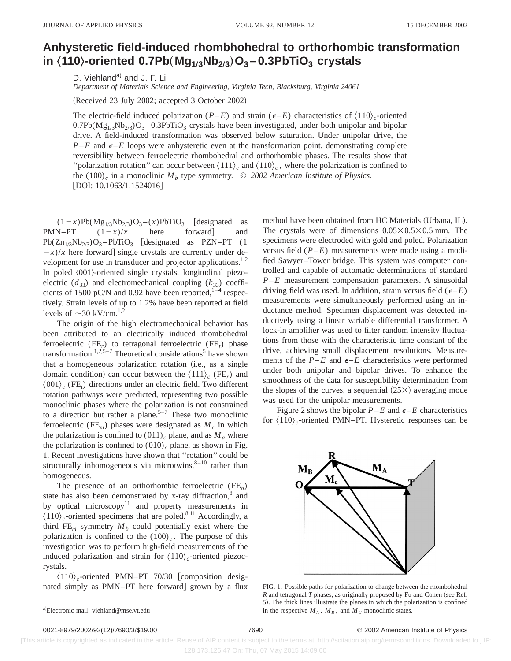## **Anhysteretic field-induced rhombhohedral to orthorhombic transformation in** Š**110**‹**-oriented 0.7Pb**"**Mg1Õ3Nb2Õ<sup>3</sup>**…**O3 – 0.3PbTiO3 crystals**

D. Viehland<sup>a)</sup> and J. F. Li

*Department of Materials Science and Engineering, Virginia Tech, Blacksburg, Virginia 24061*

(Received 23 July 2002; accepted 3 October 2002)

The electric-field induced polarization (*P–E*) and strain ( $\epsilon$ –*E*) characteristics of  $\langle 110 \rangle_c$ -oriented  $0.7Pb(Mg<sub>1/3</sub>Nb<sub>2/3</sub>)O<sub>3</sub> - 0.3PbTiO<sub>3</sub>$  crystals have been investigated, under both unipolar and bipolar drive. A field-induced transformation was observed below saturation. Under unipolar drive, the  $P$ –*E* and  $\epsilon$ –*E* loops were anhysteretic even at the transformation point, demonstrating complete reversibility between ferroelectric rhombohedral and orthorhombic phases. The results show that "polarization rotation" can occur between  $\langle 111 \rangle_c$  and  $\langle 110 \rangle_c$ , where the polarization is confined to the (100)<sub>c</sub> in a monoclinic  $M_b$  type symmetry.  $\odot$  2002 American Institute of Physics.  $[$ DOI: 10.1063/1.1524016 $]$ 

 $(1-x)Pb(Mg_{1/3}Nb_{2/3})O_3 - (x)PbTiO_3$  [designated as PMN–PT  $(1-x)/x$  here forward and  $Pb(Zn_{1/3}Nb_{2/3})O_3-PbTiO_3$  [designated as PZN–PT (1  $-x$ /*x* here forward] single crystals are currently under development for use in transducer and projector applications.<sup>1,2</sup> In poled  $\langle 001 \rangle$ -oriented single crystals, longitudinal piezoelectric  $(d_{33})$  and electromechanical coupling  $(k_{33})$  coefficients of 1500 pC/N and 0.92 have been reported, $1-4$  respectively. Strain levels of up to 1.2% have been reported at field levels of  $\sim$ 30 kV/cm.<sup>1,2</sup>

The origin of the high electromechanical behavior has been attributed to an electrically induced rhombohedral ferroelectric (FE*r*) to tetragonal ferroelectric (FE*t*) phase transformation.<sup>1,2,5-7</sup> Theoretical considerations<sup>5</sup> have shown that a homogeneous polarization rotation (i.e., as a single domain condition) can occur between the  $\langle 111 \rangle_c$  (FE<sub>*r*</sub>) and  $\langle 001 \rangle_c$  (FE<sub>t</sub>) directions under an electric field. Two different rotation pathways were predicted, representing two possible monoclinic phases where the polarization is not constrained to a direction but rather a plane.<sup>5-7</sup> These two monoclinic ferroelectric (FE<sub>m</sub>) phases were designated as  $M_c$  in which the polarization is confined to  $(011)$ <sub>c</sub> plane, and as  $M_a$  where the polarization is confined to  $(010)_c$  plane, as shown in Fig. 1. Recent investigations have shown that ''rotation'' could be structurally inhomogeneous via microtwins, $8-10$  rather than homogeneous.

The presence of an orthorhombic ferroelectric (FE*o*) state has also been demonstrated by x-ray diffraction,<sup>8</sup> and by optical microscopy $11$  and property measurements in  $\langle 110 \rangle_c$ -oriented specimens that are poled.<sup>8,11</sup> Accordingly, a third  $FE_m$  symmetry  $M_b$  could potentially exist where the polarization is confined to the  $(100)$ <sub>c</sub>. The purpose of this investigation was to perform high-field measurements of the induced polarization and strain for  $\langle 110 \rangle_c$ -oriented piezocrystals.

 $\langle 110 \rangle_c$ -oriented PMN–PT 70/30 [composition designated simply as PMN–PT here forward] grown by a flux method have been obtained from HC Materials (Urbana, IL). The crystals were of dimensions  $0.05 \times 0.5 \times 0.5$  mm. The specimens were electroded with gold and poled. Polarization versus field (*P*–*E*) measurements were made using a modified Sawyer–Tower bridge. This system was computer controlled and capable of automatic determinations of standard *P*–*E* measurement compensation parameters. A sinusoidal driving field was used. In addition, strain versus field  $(\epsilon-E)$ measurements were simultaneously performed using an inductance method. Specimen displacement was detected inductively using a linear variable differential transformer. A lock-in amplifier was used to filter random intensity fluctuations from those with the characteristic time constant of the drive, achieving small displacement resolutions. Measurements of the  $P$ – $E$  and  $\epsilon$ – $E$  characteristics were performed under both unipolar and bipolar drives. To enhance the smoothness of the data for susceptibility determination from the slopes of the curves, a sequential  $(25\times)$  averaging mode was used for the unipolar measurements.

Figure 2 shows the bipolar  $P$ –*E* and  $\epsilon$ –*E* characteristics for  $\langle 110 \rangle_c$ -oriented PMN–PT. Hysteretic responses can be



FIG. 1. Possible paths for polarization to change between the rhombohedral *R* and tetragonal *T* phases, as originally proposed by Fu and Cohen (see Ref. 5). The thick lines illustrate the planes in which the polarization is confined in the respective  $M_A$ ,  $M_B$ , and  $M_C$  monoclinic states.

## 0021-8979/2002/92(12)/7690/3/\$19.00 © 2002 American Institute of Physics 7690

 [This article is copyrighted as indicated in the article. Reuse of AIP content is subject to the terms at: http://scitation.aip.org/termsconditions. Downloaded to ] IP: 128.173.126.47 On: Thu, 07 May 2015 14:09:00

a)Electronic mail: viehland@mse.vt.edu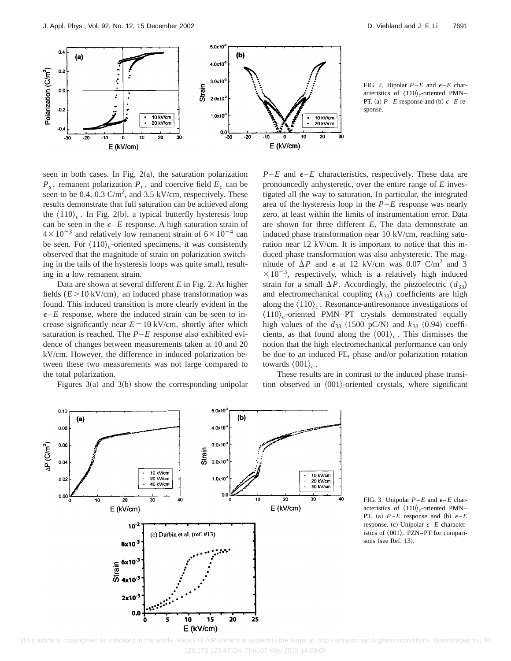

FIG. 2. Bipolar  $P-E$  and  $\epsilon-E$  characteristics of  $\langle 110 \rangle_c$ -oriented PMN– PT. (a)  $P$ –*E* response and (b)  $\epsilon$ –*E* response.

seen in both cases. In Fig.  $2(a)$ , the saturation polarization  $P_s$ , remanent polarization  $P_r$ , and coercive field  $E_c$  can be seen to be 0.4, 0.3  $\text{C/m}^2$ , and 3.5 kV/cm, respectively. These results demonstrate that full saturation can be achieved along the  $\langle 110 \rangle_c$ . In Fig. 2(b), a typical butterfly hysteresis loop can be seen in the  $\epsilon$ -*E* response. A high saturation strain of  $4\times10^{-3}$  and relatively low remanent strain of  $6\times10^{-4}$  can be seen. For  $\langle 110 \rangle_c$ -oriented specimens, it was consistently observed that the magnitude of strain on polarization switching in the tails of the hysteresis loops was quite small, resulting in a low remanent strain.

Data are shown at several different *E* in Fig. 2. At higher fields  $(E > 10 \text{ kV/cm})$ , an induced phase transformation was found. This induced transition is more clearly evident in the  $\epsilon$ –*E* response, where the induced strain can be seen to increase significantly near  $E = 10 \text{ kV/cm}$ , shortly after which saturation is reached. The *P*–*E* response also exhibited evidence of changes between measurements taken at 10 and 20 kV/cm. However, the difference in induced polarization between these two measurements was not large compared to the total polarization.

Figures  $3(a)$  and  $3(b)$  show the corresponding unipolar

 $P-E$  and  $\epsilon$ –*E* characteristics, respectively. These data are pronouncedly anhysteretic, over the entire range of *E* investigated all the way to saturation. In particular, the integrated area of the hysteresis loop in the *P*–*E* response was nearly zero, at least within the limits of instrumentation error. Data are shown for three different *E*. The data demonstrate an induced phase transformation near 10 kV/cm, reaching saturation near 12 kV/cm. It is important to notice that this induced phase transformation was also anhysteretic. The magnitude of  $\Delta P$  and  $\epsilon$  at 12 kV/cm was 0.07 C/m<sup>2</sup> and 3  $\times 10^{-3}$ , respectively, which is a relatively high induced strain for a small  $\Delta P$ . Accordingly, the piezoelectric  $(d_{33})$ and electromechanical coupling  $(k_{33})$  coefficients are high along the  $\langle 110 \rangle_c$ . Resonance-antiresonance investigations of  $\langle 110 \rangle_c$ -oriented PMN–PT crystals demonstrated equally high values of the  $d_{33}$  (1500 pC/N) and  $k_{33}$  (0.94) coefficients, as that found along the  $\langle 001 \rangle_c$ . This dismisses the notion that the high electromechanical performance can only be due to an induced  $FE_t$  phase and/or polarization rotation towards  $\langle 001 \rangle_c$ .

These results are in contrast to the induced phase transition observed in  $\langle 001 \rangle$ -oriented crystals, where significant



FIG. 3. Unipolar  $P-E$  and  $\epsilon-E$  characteristics of  $\langle 110 \rangle_c$ -oriented PMN– PT. (a)  $P-E$  response and (b)  $\epsilon-E$ response. (c) Unipolar  $\epsilon$  – *E* characteristics of  $\langle 001 \rangle_c$  PZN–PT for comparisons (see Ref.  $13$ ).

 <sup>[</sup>This article is copyrighted as indicated in the article. Reuse of AIP content is subject to the terms at: http://scitation.aip.org/termsconditions. Downloaded to ] IP: 128.173.126.47 On: Thu, 07 May 2015 14:09:00